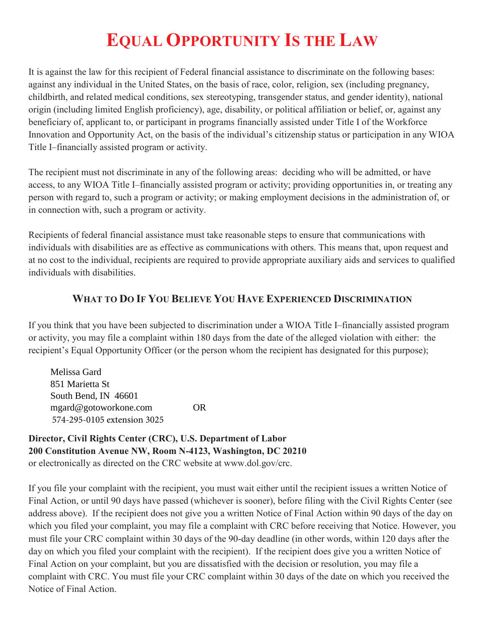# **EQUAL OPPORTUNITY IS THE LAW**

It is against the law for this recipient of Federal financial assistance to discriminate on the following bases: against any individual in the United States, on the basis of race, color, religion, sex (including pregnancy, childbirth, and related medical conditions, sex stereotyping, transgender status, and gender identity), national origin (including limited English proficiency), age, disability, or political affiliation or belief, or, against any beneficiary of, applicant to, or participant in programs financially assisted under Title I of the Workforce Innovation and Opportunity Act, on the basis of the individual's citizenship status or participation in any WIOA Title I–financially assisted program or activity.

The recipient must not discriminate in any of the following areas: deciding who will be admitted, or have access, to any WIOA Title I–financially assisted program or activity; providing opportunities in, or treating any person with regard to, such a program or activity; or making employment decisions in the administration of, or in connection with, such a program or activity.

Recipients of federal financial assistance must take reasonable steps to ensure that communications with individuals with disabilities are as effective as communications with others. This means that, upon request and at no cost to the individual, recipients are required to provide appropriate auxiliary aids and services to qualified individuals with disabilities.

## **WHAT TO DO IF YOU BELIEVE YOU HAVE EXPERIENCED DISCRIMINATION**

If you think that you have been subjected to discrimination under a WIOA Title I–financially assisted program or activity, you may file a complaint within 180 days from the date of the alleged violation with either: the recipient's Equal Opportunity Officer (or the person whom the recipient has designated for this purpose);

574-295-0105 extension 3025 Melissa Gard 851 Marietta St South Bend, IN 46601 mgard@gotoworkone.com OR

**Director, Civil Rights Center (CRC), U.S. Department of Labor 200 Constitution Avenue NW, Room N-4123, Washington, DC 20210**  or electronically as directed on the CRC website at www.dol.gov/crc.

If you file your complaint with the recipient, you must wait either until the recipient issues a written Notice of Final Action, or until 90 days have passed (whichever is sooner), before filing with the Civil Rights Center (see address above). If the recipient does not give you a written Notice of Final Action within 90 days of the day on which you filed your complaint, you may file a complaint with CRC before receiving that Notice. However, you must file your CRC complaint within 30 days of the 90-day deadline (in other words, within 120 days after the day on which you filed your complaint with the recipient). If the recipient does give you a written Notice of Final Action on your complaint, but you are dissatisfied with the decision or resolution, you may file a complaint with CRC. You must file your CRC complaint within 30 days of the date on which you received the Notice of Final Action.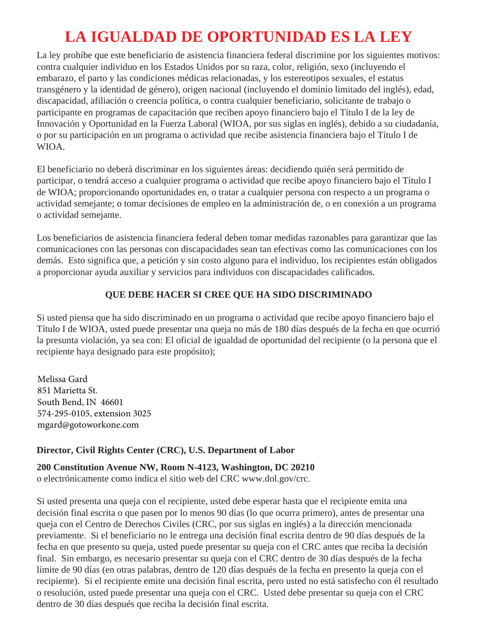## **LA IGUALDAD DE OPORTUNIDAD ES LA LEY**

La ley prohíbe que este beneficiario de asistencia financiera federal discrimine por los siguientes motivos: contra cualquier individuo en los Estados Unidos por su raza, color, religión, sexo (incluyendo el embarazo, el parto y las condiciones médicas relacionadas, y los estereotipos sexuales, el estatus transgénero y la identidad de género), origen nacional (incluyendo el dominio limitado del inglés), edad, discapacidad, afiliación o creencia política, o contra cualquier beneficiario, solicitante de trabajo o participante en programas de capacitación que reciben apoyo financiero bajo el Título I de la ley de Innovación y Oportunidad en la Fuerza Laboral (WIOA, por sus siglas en inglés), debido a su ciudadanía, o por su participación en un programa o actividad que recibe asistencia financiera bajo el Título I de WIOA.

El beneficiario no deberá discriminar en los siguientes áreas: decidiendo quién será permitido de participar, o tendrá acceso a cualquier programa o actividad que recibe apoyo financiero bajo el Título I de WIOA; proporcionando oportunidades en, o tratar a cualquier persona con respecto a un programa o actividad semejante; o tomar decisiones de empleo en la administración de, o en conexión a un programa o actividad semejante.

Los beneficiarios de asistencia financiera federal deben tomar medidas razonables para garantizar que las comunicaciones con las personas con discapacidades sean tan efectivas como las comunicaciones con los demás. Esto significa que, a petición y sin costo alguno para el individuo, los recipientes están obligados a proporcionar ayuda auxiliar y servicios para individuos con discapacidades calificados.

## **QUE DEBE HACER SI CREE QUE HA SIDO DISCRIMINADO**

Si usted piensa que ha sido discriminado en un programa o actividad que recibe apoyo financiero bajo el Título I de WIOA, usted puede presentar una queja no más de 180 días después de la fecha en que ocurrió la presunta violación, ya sea con: El oficial de igualdad de oportunidad del recipiente (o la persona que el recipiente haya designado para este propósito);

Melissa Gard 851 Marietta St. South Bend, IN 46601 574-295-0105, extension 3025 mgard@gotoworkone.com

## **Director, Civil Rights Center (CRC), U.S. Department of Labor**

**200 Constitution Avenue NW, Room N-4123, Washington, DC 20210**  o electrónicamente como indica el sitio web del CRC www.dol.gov/crc.

Si usted presenta una queja con el recipiente, usted debe esperar hasta que el recipiente emita una decisión final escrita o que pasen por lo menos 90 días (lo que ocurra primero), antes de presentar una queja con el Centro de Derechos Civiles (CRC, por sus siglas en inglés) a la dirección mencionada previamente. Si el beneficiario no le entrega una decisión final escrita dentro de 90 días después de la fecha en que presento su queja, usted puede presentar su queja con el CRC antes que reciba la decisión final. Sin embargo, es necesario presentar su queja con el CRC dentro de 30 días después de la fecha límite de 90 días (en otras palabras, dentro de 120 días después de la fecha en presento la queja con el recipiente). Si el recipiente emite una decisión final escrita, pero usted no está satisfecho con él resultado o resolución, usted puede presentar una queja con el CRC. Usted debe presentar su queja con el CRC dentro de 30 días después que reciba la decisión final escrita.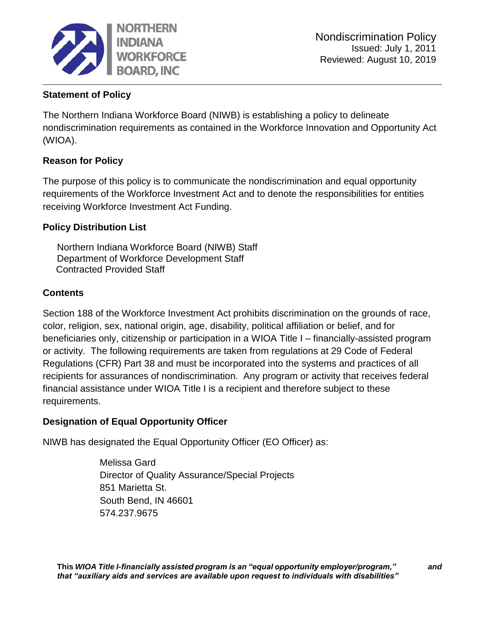

## **Statement of Policy**

The Northern Indiana Workforce Board (NIWB) is establishing a policy to delineate nondiscrimination requirements as contained in the Workforce Innovation and Opportunity Act (WIOA).

## **Reason for Policy**

The purpose of this policy is to communicate the nondiscrimination and equal opportunity requirements of the Workforce Investment Act and to denote the responsibilities for entities receiving Workforce Investment Act Funding.

## **Policy Distribution List**

Northern Indiana Workforce Board (NIWB) Staff Department of Workforce Development Staff Contracted Provided Staff

#### **Contents**

Section 188 of the Workforce Investment Act prohibits discrimination on the grounds of race, color, religion, sex, national origin, age, disability, political affiliation or belief, and for beneficiaries only, citizenship or participation in a WIOA Title I – financially-assisted program or activity. The following requirements are taken from regulations at 29 Code of Federal Regulations (CFR) Part 38 and must be incorporated into the systems and practices of all recipients for assurances of nondiscrimination. Any program or activity that receives federal financial assistance under WIOA Title I is a recipient and therefore subject to these requirements.

#### **Designation of Equal Opportunity Officer**

NIWB has designated the Equal Opportunity Officer (EO Officer) as:

Melissa Gard Director of Quality Assurance/Special Projects 851 Marietta St. South Bend, IN 46601 574.237.9675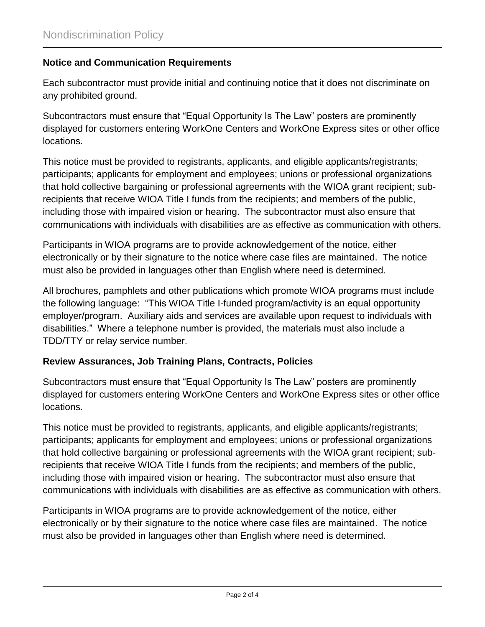#### **Notice and Communication Requirements**

Each subcontractor must provide initial and continuing notice that it does not discriminate on any prohibited ground.

Subcontractors must ensure that "Equal Opportunity Is The Law" posters are prominently displayed for customers entering WorkOne Centers and WorkOne Express sites or other office locations.

This notice must be provided to registrants, applicants, and eligible applicants/registrants; participants; applicants for employment and employees; unions or professional organizations that hold collective bargaining or professional agreements with the WIOA grant recipient; subrecipients that receive WIOA Title I funds from the recipients; and members of the public, including those with impaired vision or hearing. The subcontractor must also ensure that communications with individuals with disabilities are as effective as communication with others.

Participants in WIOA programs are to provide acknowledgement of the notice, either electronically or by their signature to the notice where case files are maintained. The notice must also be provided in languages other than English where need is determined.

All brochures, pamphlets and other publications which promote WIOA programs must include the following language: "This WIOA Title I-funded program/activity is an equal opportunity employer/program. Auxiliary aids and services are available upon request to individuals with disabilities." Where a telephone number is provided, the materials must also include a TDD/TTY or relay service number.

#### **Review Assurances, Job Training Plans, Contracts, Policies**

Subcontractors must ensure that "Equal Opportunity Is The Law" posters are prominently displayed for customers entering WorkOne Centers and WorkOne Express sites or other office locations.

This notice must be provided to registrants, applicants, and eligible applicants/registrants; participants; applicants for employment and employees; unions or professional organizations that hold collective bargaining or professional agreements with the WIOA grant recipient; subrecipients that receive WIOA Title I funds from the recipients; and members of the public, including those with impaired vision or hearing. The subcontractor must also ensure that communications with individuals with disabilities are as effective as communication with others.

Participants in WIOA programs are to provide acknowledgement of the notice, either electronically or by their signature to the notice where case files are maintained. The notice must also be provided in languages other than English where need is determined.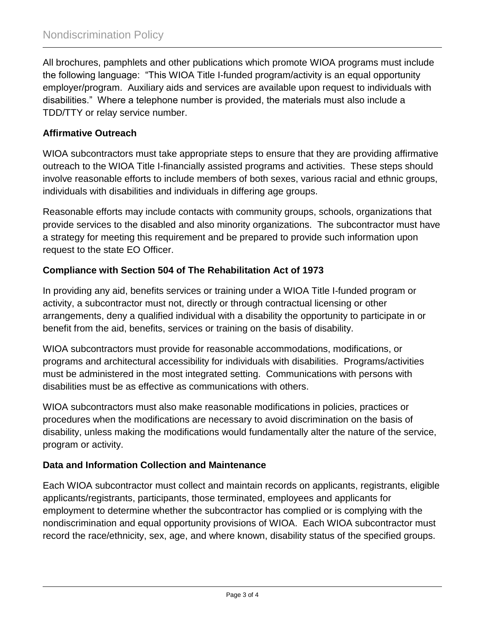All brochures, pamphlets and other publications which promote WIOA programs must include the following language: "This WIOA Title I-funded program/activity is an equal opportunity employer/program. Auxiliary aids and services are available upon request to individuals with disabilities." Where a telephone number is provided, the materials must also include a TDD/TTY or relay service number.

## **Affirmative Outreach**

WIOA subcontractors must take appropriate steps to ensure that they are providing affirmative outreach to the WIOA Title I-financially assisted programs and activities. These steps should involve reasonable efforts to include members of both sexes, various racial and ethnic groups, individuals with disabilities and individuals in differing age groups.

Reasonable efforts may include contacts with community groups, schools, organizations that provide services to the disabled and also minority organizations. The subcontractor must have a strategy for meeting this requirement and be prepared to provide such information upon request to the state EO Officer.

#### **Compliance with Section 504 of The Rehabilitation Act of 1973**

In providing any aid, benefits services or training under a WIOA Title I-funded program or activity, a subcontractor must not, directly or through contractual licensing or other arrangements, deny a qualified individual with a disability the opportunity to participate in or benefit from the aid, benefits, services or training on the basis of disability.

WIOA subcontractors must provide for reasonable accommodations, modifications, or programs and architectural accessibility for individuals with disabilities. Programs/activities must be administered in the most integrated setting. Communications with persons with disabilities must be as effective as communications with others.

WIOA subcontractors must also make reasonable modifications in policies, practices or procedures when the modifications are necessary to avoid discrimination on the basis of disability, unless making the modifications would fundamentally alter the nature of the service, program or activity.

## **Data and Information Collection and Maintenance**

Each WIOA subcontractor must collect and maintain records on applicants, registrants, eligible applicants/registrants, participants, those terminated, employees and applicants for employment to determine whether the subcontractor has complied or is complying with the nondiscrimination and equal opportunity provisions of WIOA. Each WIOA subcontractor must record the race/ethnicity, sex, age, and where known, disability status of the specified groups.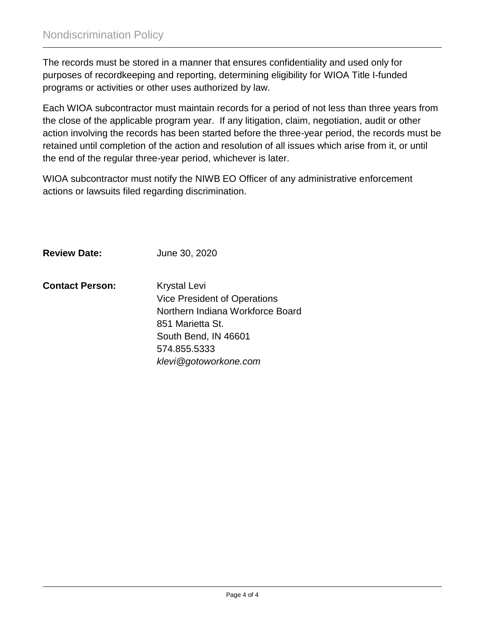The records must be stored in a manner that ensures confidentiality and used only for purposes of recordkeeping and reporting, determining eligibility for WIOA Title I-funded programs or activities or other uses authorized by law.

Each WIOA subcontractor must maintain records for a period of not less than three years from the close of the applicable program year. If any litigation, claim, negotiation, audit or other action involving the records has been started before the three-year period, the records must be retained until completion of the action and resolution of all issues which arise from it, or until the end of the regular three-year period, whichever is later.

WIOA subcontractor must notify the NIWB EO Officer of any administrative enforcement actions or lawsuits filed regarding discrimination.

**Review Date:** June 30, 2020

**Contact Person:** Krystal Levi Vice President of Operations Northern Indiana Workforce Board 851 Marietta St. South Bend, IN 46601 574.855.5333 *klevi@gotoworkone.com*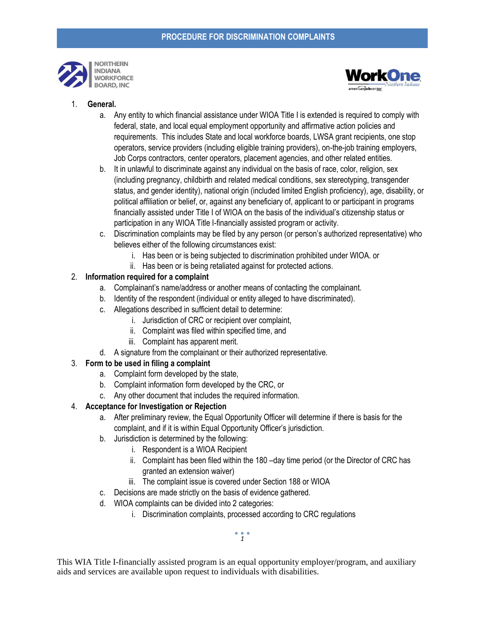



#### 1. **General.**

- a. Any entity to which financial assistance under WIOA Title I is extended is required to comply with federal, state, and local equal employment opportunity and affirmative action policies and requirements. This includes State and local workforce boards, LWSA grant recipients, one stop operators, service providers (including eligible training providers), on-the-job training employers, Job Corps contractors, center operators, placement agencies, and other related entities.
- b. It in unlawful to discriminate against any individual on the basis of race, color, religion, sex (including pregnancy, childbirth and related medical conditions, sex stereotyping, transgender status, and gender identity), national origin (included limited English proficiency), age, disability, or political affiliation or belief, or, against any beneficiary of, applicant to or participant in programs financially assisted under Title I of WIOA on the basis of the individual's citizenship status or participation in any WIOA Title I-financially assisted program or activity.
- c. Discrimination complaints may be filed by any person (or person's authorized representative) who believes either of the following circumstances exist:
	- i. Has been or is being subjected to discrimination prohibited under WIOA. or
	- ii. Has been or is being retaliated against for protected actions.

#### 2. **Information required for a complaint**

- a. Complainant's name/address or another means of contacting the complainant.
- b. Identity of the respondent (individual or entity alleged to have discriminated).
- c. Allegations described in sufficient detail to determine:
	- i. Jurisdiction of CRC or recipient over complaint,
	- ii. Complaint was filed within specified time, and
	- iii. Complaint has apparent merit.
- d. A signature from the complainant or their authorized representative.

#### 3. **Form to be used in filing a complaint**

- a. Complaint form developed by the state,
- b. Complaint information form developed by the CRC, or
- c. Any other document that includes the required information.

#### 4. **Acceptance for Investigation or Rejection**

- a. After preliminary review, the Equal Opportunity Officer will determine if there is basis for the complaint, and if it is within Equal Opportunity Officer's jurisdiction.
- b. Jurisdiction is determined by the following:
	- i. Respondent is a WIOA Recipient
	- ii. Complaint has been filed within the 180 –day time period (or the Director of CRC has granted an extension waiver)
	- iii. The complaint issue is covered under Section 188 or WIOA
- c. Decisions are made strictly on the basis of evidence gathered.
- d. WIOA complaints can be divided into 2 categories:
	- i. Discrimination complaints, processed according to CRC regulations

This WIA Title I-financially assisted program is an equal opportunity employer/program, and auxiliary aids and services are available upon request to individuals with disabilities.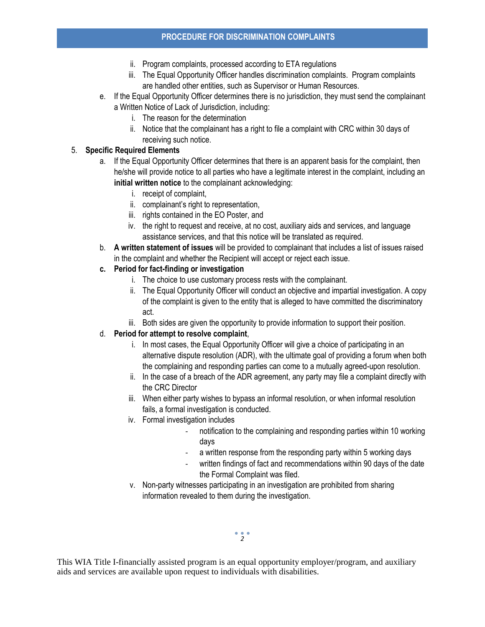- ii. Program complaints, processed according to ETA regulations
- iii. The Equal Opportunity Officer handles discrimination complaints. Program complaints are handled other entities, such as Supervisor or Human Resources.
- e. If the Equal Opportunity Officer determines there is no jurisdiction, they must send the complainant a Written Notice of Lack of Jurisdiction, including:
	- i. The reason for the determination
	- ii. Notice that the complainant has a right to file a complaint with CRC within 30 days of receiving such notice.

#### 5. **Specific Required Elements**

- a. If the Equal Opportunity Officer determines that there is an apparent basis for the complaint, then he/she will provide notice to all parties who have a legitimate interest in the complaint, including an **initial written notice** to the complainant acknowledging:
	- i. receipt of complaint,
	- ii. complainant's right to representation,
	- iii. rights contained in the EO Poster, and
	- iv. the right to request and receive, at no cost, auxiliary aids and services, and language assistance services, and that this notice will be translated as required.
- b. **A written statement of issues** will be provided to complainant that includes a list of issues raised in the complaint and whether the Recipient will accept or reject each issue.
- **c. Period for fact-finding or investigation**
	- i. The choice to use customary process rests with the complainant.
	- ii. The Equal Opportunity Officer will conduct an objective and impartial investigation. A copy of the complaint is given to the entity that is alleged to have committed the discriminatory act.
	- iii. Both sides are given the opportunity to provide information to support their position.

#### d. **Period for attempt to resolve complaint**,

- i. In most cases, the Equal Opportunity Officer will give a choice of participating in an alternative dispute resolution (ADR), with the ultimate goal of providing a forum when both the complaining and responding parties can come to a mutually agreed-upon resolution.
- ii. In the case of a breach of the ADR agreement, any party may file a complaint directly with the CRC Director
- iii. When either party wishes to bypass an informal resolution, or when informal resolution fails, a formal investigation is conducted.
- iv. Formal investigation includes
	- notification to the complaining and responding parties within 10 working days
	- a written response from the responding party within 5 working days
	- written findings of fact and recommendations within 90 days of the date the Formal Complaint was filed.
- v. Non-party witnesses participating in an investigation are prohibited from sharing information revealed to them during the investigation.

This WIA Title I-financially assisted program is an equal opportunity employer/program, and auxiliary aids and services are available upon request to individuals with disabilities.